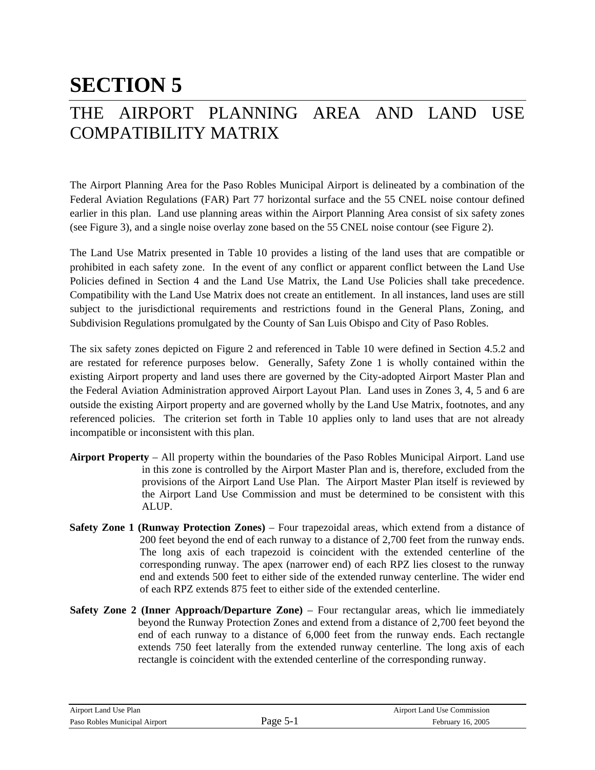# **SECTION 5**

# THE AIRPORT PLANNING AREA AND LAND USE COMPATIBILITY MATRIX

The Airport Planning Area for the Paso Robles Municipal Airport is delineated by a combination of the Federal Aviation Regulations (FAR) Part 77 horizontal surface and the 55 CNEL noise contour defined earlier in this plan. Land use planning areas within the Airport Planning Area consist of six safety zones (see Figure 3), and a single noise overlay zone based on the 55 CNEL noise contour (see Figure 2).

The Land Use Matrix presented in Table 10 provides a listing of the land uses that are compatible or prohibited in each safety zone. In the event of any conflict or apparent conflict between the Land Use Policies defined in Section 4 and the Land Use Matrix, the Land Use Policies shall take precedence. Compatibility with the Land Use Matrix does not create an entitlement. In all instances, land uses are still subject to the jurisdictional requirements and restrictions found in the General Plans, Zoning, and Subdivision Regulations promulgated by the County of San Luis Obispo and City of Paso Robles.

The six safety zones depicted on Figure 2 and referenced in Table 10 were defined in Section 4.5.2 and are restated for reference purposes below. Generally, Safety Zone 1 is wholly contained within the existing Airport property and land uses there are governed by the City-adopted Airport Master Plan and the Federal Aviation Administration approved Airport Layout Plan. Land uses in Zones 3, 4, 5 and 6 are outside the existing Airport property and are governed wholly by the Land Use Matrix, footnotes, and any referenced policies. The criterion set forth in Table 10 applies only to land uses that are not already incompatible or inconsistent with this plan.

- **Airport Property** All property within the boundaries of the Paso Robles Municipal Airport. Land use in this zone is controlled by the Airport Master Plan and is, therefore, excluded from the provisions of the Airport Land Use Plan. The Airport Master Plan itself is reviewed by the Airport Land Use Commission and must be determined to be consistent with this ALUP.
- **Safety Zone 1 (Runway Protection Zones)** Four trapezoidal areas, which extend from a distance of 200 feet beyond the end of each runway to a distance of 2,700 feet from the runway ends. The long axis of each trapezoid is coincident with the extended centerline of the corresponding runway. The apex (narrower end) of each RPZ lies closest to the runway end and extends 500 feet to either side of the extended runway centerline. The wider end of each RPZ extends 875 feet to either side of the extended centerline.
- **Safety Zone 2 <b>(Inner Approach/Departure Zone)** Four rectangular areas, which lie immediately beyond the Runway Protection Zones and extend from a distance of 2,700 feet beyond the end of each runway to a distance of 6,000 feet from the runway ends. Each rectangle extends 750 feet laterally from the extended runway centerline. The long axis of each rectangle is coincident with the extended centerline of the corresponding runway.

| Airport Land Use Plan         |       | <b>Airport Land Use Commission</b> |  |
|-------------------------------|-------|------------------------------------|--|
| Paso Robles Municipal Airport | י מפי | February 16, 2005                  |  |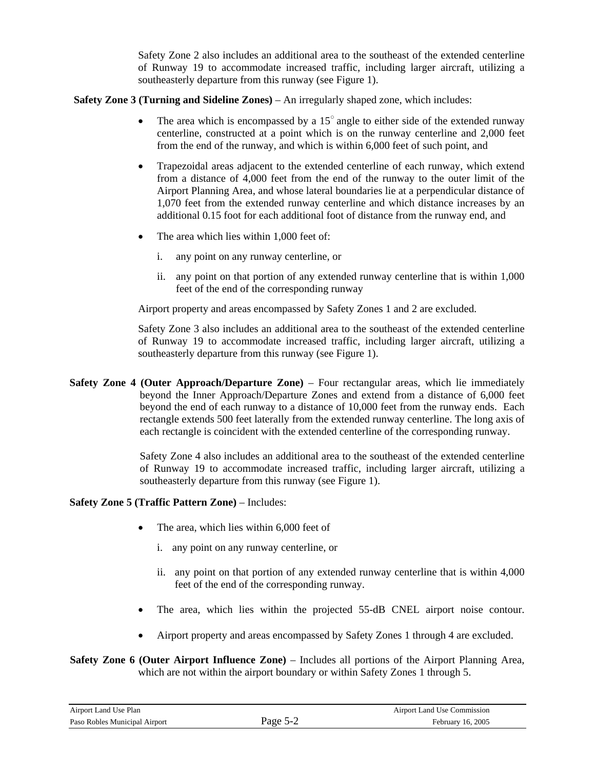Safety Zone 2 also includes an additional area to the southeast of the extended centerline of Runway 19 to accommodate increased traffic, including larger aircraft, utilizing a southeasterly departure from this runway (see Figure 1).

**Safety Zone 3 (Turning and Sideline Zones)** – An irregularly shaped zone, which includes:

- The area which is encompassed by a  $15^{\circ}$  angle to either side of the extended runway centerline, constructed at a point which is on the runway centerline and 2,000 feet from the end of the runway, and which is within 6,000 feet of such point, and
- Trapezoidal areas adjacent to the extended centerline of each runway, which extend from a distance of 4,000 feet from the end of the runway to the outer limit of the Airport Planning Area, and whose lateral boundaries lie at a perpendicular distance of 1,070 feet from the extended runway centerline and which distance increases by an additional 0.15 foot for each additional foot of distance from the runway end, and
- The area which lies within 1,000 feet of:
	- i. any point on any runway centerline, or
	- ii. any point on that portion of any extended runway centerline that is within 1,000 feet of the end of the corresponding runway

Airport property and areas encompassed by Safety Zones 1 and 2 are excluded.

Safety Zone 3 also includes an additional area to the southeast of the extended centerline of Runway 19 to accommodate increased traffic, including larger aircraft, utilizing a southeasterly departure from this runway (see Figure 1).

**Safety Zone 4 (Outer Approach/Departure Zone)** – Four rectangular areas, which lie immediately beyond the Inner Approach/Departure Zones and extend from a distance of 6,000 feet beyond the end of each runway to a distance of 10,000 feet from the runway ends. Each rectangle extends 500 feet laterally from the extended runway centerline. The long axis of each rectangle is coincident with the extended centerline of the corresponding runway.

> Safety Zone 4 also includes an additional area to the southeast of the extended centerline of Runway 19 to accommodate increased traffic, including larger aircraft, utilizing a southeasterly departure from this runway (see Figure 1).

#### **Safety Zone 5 (Traffic Pattern Zone)** – Includes:

- The area, which lies within 6,000 feet of
	- i. any point on any runway centerline, or
	- ii. any point on that portion of any extended runway centerline that is within 4,000 feet of the end of the corresponding runway.
- The area, which lies within the projected 55-dB CNEL airport noise contour.
- Airport property and areas encompassed by Safety Zones 1 through 4 are excluded.

**Safety Zone 6 (Outer Airport Influence Zone)** – Includes all portions of the Airport Planning Area, which are not within the airport boundary or within Safety Zones 1 through 5.

| Airport Land Use Plan         |             | Airport Land Use Commission |
|-------------------------------|-------------|-----------------------------|
| Paso Robles Municipal Airport | rage<br>- ۱ | February 16, 2005           |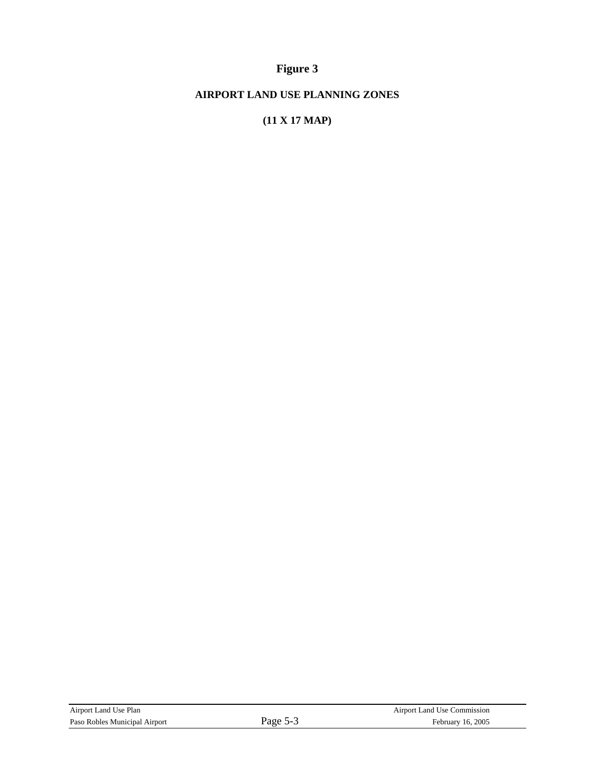### **Figure 3**

**AIRPORT LAND USE PLANNING ZONES** 

**(11 X 17 MAP)** 

| Airport Land Use Plan         |             | Airport Land Use Commission |  |
|-------------------------------|-------------|-----------------------------|--|
| Paso Robles Municipal Airport | rage $\sim$ | February 16, 2005           |  |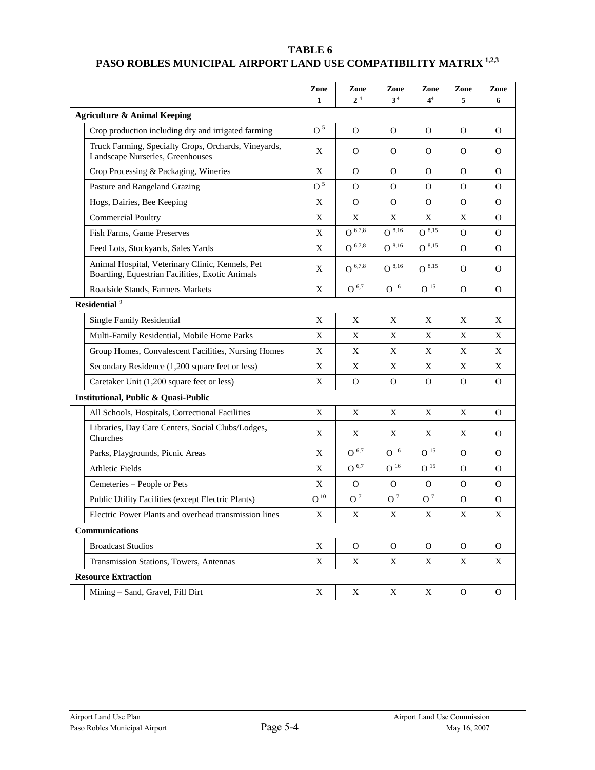#### **TABLE 6** PASO ROBLES MUNICIPAL AIRPORT LAND USE COMPATIBILITY MATRIX<sup>1,2,3</sup>

|                                                                                                     | Zone<br>$\mathbf{1}$ | Zone<br>$2^4$      | Zone<br>3 <sup>4</sup> | Zone<br>4 <sup>4</sup> | Zone<br>5      | Zone<br>6      |
|-----------------------------------------------------------------------------------------------------|----------------------|--------------------|------------------------|------------------------|----------------|----------------|
| <b>Agriculture &amp; Animal Keeping</b>                                                             |                      |                    |                        |                        |                |                |
| Crop production including dry and irrigated farming                                                 | O <sup>5</sup>       | $\Omega$           | $\Omega$               | $\overline{O}$         | $\Omega$       | $\Omega$       |
| Truck Farming, Specialty Crops, Orchards, Vineyards,<br>Landscape Nurseries, Greenhouses            | X                    | 0                  | O                      | O                      | O              | O              |
| Crop Processing & Packaging, Wineries                                                               | X                    | $\Omega$           | $\Omega$               | $\mathbf{O}$           | $\Omega$       | $\Omega$       |
| Pasture and Rangeland Grazing                                                                       | 0 <sup>5</sup>       | $\Omega$           | O                      | O                      | O              | O              |
| Hogs, Dairies, Bee Keeping                                                                          | X                    | $\Omega$           | $\Omega$               | O                      | $\overline{O}$ | $\overline{O}$ |
| <b>Commercial Poultry</b>                                                                           | X                    | X                  | X                      | X                      | X              | $\Omega$       |
| Fish Farms, Game Preserves                                                                          | X                    | $O^{6,7,8}$        | $O^{8,16}$             | $O^{8,15}$             | O              | O              |
| Feed Lots, Stockyards, Sales Yards                                                                  | X                    | $O^{6,7,8}$        | $O^{8,16}$             | $O^{8,15}$             | $\Omega$       | $\Omega$       |
| Animal Hospital, Veterinary Clinic, Kennels, Pet<br>Boarding, Equestrian Facilities, Exotic Animals | X                    | $O^{6,7,8}$        | $O^{8,16}$             | $O^{8,15}$             | $\overline{O}$ | $\Omega$       |
| Roadside Stands, Farmers Markets                                                                    | X                    | $O$ <sup>6,7</sup> | $\mbox{O}$ $^{16}$     | O <sup>15</sup>        | $\Omega$       | $\Omega$       |
| Residential <sup>9</sup>                                                                            |                      |                    |                        |                        |                |                |
| <b>Single Family Residential</b>                                                                    | X                    | X                  | X                      | X                      | X              | X              |
| Multi-Family Residential, Mobile Home Parks                                                         | X                    | X                  | X                      | X                      | X              | X              |
| Group Homes, Convalescent Facilities, Nursing Homes                                                 | X                    | X                  | Χ                      | X                      | Χ              | X              |
| Secondary Residence (1,200 square feet or less)                                                     | X                    | X                  | X                      | X                      | X              | X              |
| Caretaker Unit (1,200 square feet or less)                                                          | X                    | $\Omega$           | $\overline{O}$         | $\mathbf{O}$           | $\Omega$       | $\Omega$       |
| <b>Institutional, Public &amp; Quasi-Public</b>                                                     |                      |                    |                        |                        |                |                |
| All Schools, Hospitals, Correctional Facilities                                                     | X                    | X                  | X                      | X                      | X              | $\overline{O}$ |
| Libraries, Day Care Centers, Social Clubs/Lodges,<br>Churches                                       | X                    | X                  | X                      | X                      | X              | $\Omega$       |
| Parks, Playgrounds, Picnic Areas                                                                    | X                    | $O^{6,7}$          | $\mbox{O}$ $^{16}$     | $\mbox{O}$ $^{15}$     | $\overline{O}$ | $\overline{O}$ |
| <b>Athletic Fields</b>                                                                              | X                    | O $^{6,7}$         | $\mbox{O}$ $^{16}$     | $O^{15}$               | $\overline{O}$ | $\Omega$       |
| Cemeteries - People or Pets                                                                         | X                    | O                  | O                      | O                      | O              | O              |
| Public Utility Facilities (except Electric Plants)                                                  | $\mbox{O}^{\,10}$    | O <sup>7</sup>     | O <sup>7</sup>         | O <sup>7</sup>         | $\mathbf{O}$   | $\Omega$       |
| Electric Power Plants and overhead transmission lines                                               | $\mathbf X$          | $\mathbf X$        | $\mathbf X$            | X                      | $\mathbf X$    | X              |
| <b>Communications</b>                                                                               |                      |                    |                        |                        |                |                |
| <b>Broadcast Studios</b>                                                                            | $\mathbf X$          | $\mathbf{O}$       | $\mathbf{O}$           | $\mathbf{O}$           | $\Omega$       | $\mathbf{O}$   |
| Transmission Stations, Towers, Antennas                                                             | X                    | X                  | X                      | X                      | X              | X              |
| <b>Resource Extraction</b>                                                                          |                      |                    |                        |                        |                |                |
| Mining - Sand, Gravel, Fill Dirt                                                                    | X                    | $\mathbf X$        | X                      | X                      | $\mathbf{O}$   | $\mathbf{O}$   |

| Airport Land Use Plan         |          | Airport Land Use Commission |
|-------------------------------|----------|-----------------------------|
| Paso Robles Municipal Airport | Page 5-4 | May 16, 2007                |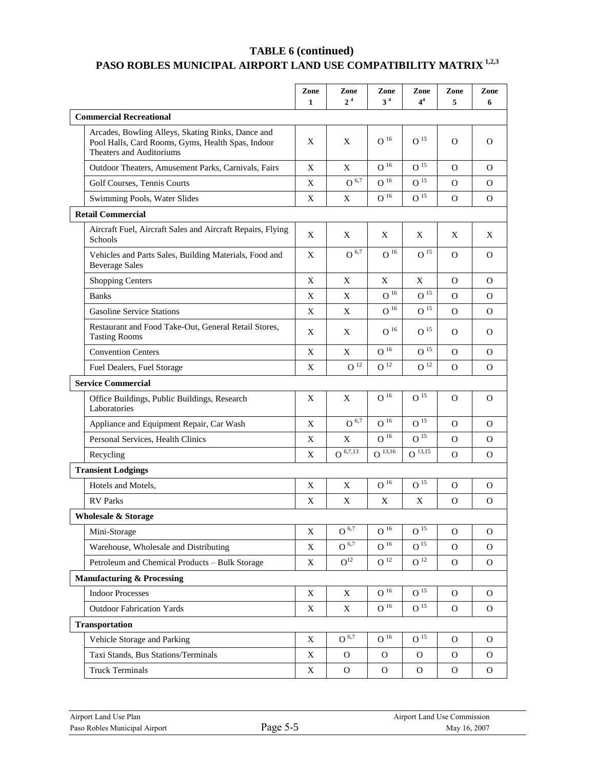## **TABLE 6 (continued) PASO ROBLES MUNICIPAL AIRPORT LAND USE COMPATIBILITY MATRIX 1,2,3**

|                                                                                                                                    | Zone         | Zone               | Zone               | Zone                  | Zone           | Zone           |
|------------------------------------------------------------------------------------------------------------------------------------|--------------|--------------------|--------------------|-----------------------|----------------|----------------|
|                                                                                                                                    | $\mathbf{1}$ | 2 <sup>4</sup>     | 3 <sup>4</sup>     | 4 <sup>4</sup>        | 5              | 6              |
| <b>Commercial Recreational</b>                                                                                                     |              |                    |                    |                       |                |                |
| Arcades, Bowling Alleys, Skating Rinks, Dance and<br>Pool Halls, Card Rooms, Gyms, Health Spas, Indoor<br>Theaters and Auditoriums | X            | X                  | $\mbox{O}$ $^{16}$ | $\mbox{O}$ $^{15}$    | $\mathbf{O}$   | $\Omega$       |
| Outdoor Theaters, Amusement Parks, Carnivals, Fairs                                                                                | X            | $\mathbf X$        | $O^{16}$           | O <sup>15</sup>       | $\mathcal{O}$  | $\Omega$       |
| Golf Courses, Tennis Courts                                                                                                        | X            | $O$ 6,7            | O <sup>16</sup>    | $O^{15}$              | $\overline{O}$ | $\Omega$       |
| Swimming Pools, Water Slides                                                                                                       | X            | X                  | $\mbox{O}$ $^{16}$ | $O^{15}$              | $\mathbf{O}$   | $\Omega$       |
| <b>Retail Commercial</b>                                                                                                           |              |                    |                    |                       |                |                |
| Aircraft Fuel, Aircraft Sales and Aircraft Repairs, Flying<br>Schools                                                              | X            | X                  | X                  | X                     | X              | X              |
| Vehicles and Parts Sales, Building Materials, Food and<br><b>Beverage Sales</b>                                                    | X            | $O$ 6,7            | O <sup>16</sup>    | O <sup>15</sup>       | $\overline{O}$ | $\Omega$       |
| <b>Shopping Centers</b>                                                                                                            | X            | X                  | X                  | X                     | O              | O              |
| <b>Banks</b>                                                                                                                       | X            | X                  | $\mbox{O}$ $^{16}$ | $O^{15}$              | $\Omega$       | $\Omega$       |
| <b>Gasoline Service Stations</b>                                                                                                   | X            | X                  | $\mbox{O}$ $^{16}$ | O <sup>15</sup>       | $\mathbf{O}$   | O              |
| Restaurant and Food Take-Out, General Retail Stores,<br><b>Tasting Rooms</b>                                                       | X            | X                  | O <sup>16</sup>    | $\mbox{O}$ $^{15}$    | O              | O              |
| <b>Convention Centers</b>                                                                                                          | X            | X                  | $\mbox{O}$ $^{16}$ | $\mbox{O}$ $^{15}$    | $\mathbf{O}$   | $\Omega$       |
| Fuel Dealers, Fuel Storage                                                                                                         | X            | O <sup>12</sup>    | O <sup>12</sup>    | $\mbox{O}$<br>$^{12}$ | $\Omega$       | $\Omega$       |
| <b>Service Commercial</b>                                                                                                          |              |                    |                    |                       |                |                |
| Office Buildings, Public Buildings, Research<br>Laboratories                                                                       | X            | X                  | $\mbox{O}$ $^{16}$ | $\mbox{O}$ $^{15}$    | 0              | $\Omega$       |
| Appliance and Equipment Repair, Car Wash                                                                                           | $\mathbf X$  | $O^{6,7}$          | $\mbox{O}$ $^{16}$ | O <sup>15</sup>       | $\Omega$       | $\Omega$       |
| Personal Services, Health Clinics                                                                                                  | X            | X                  | $\mbox{O}$ $^{16}$ | $\mbox{O}$ $^{15}$    | $\mathbf{O}$   | O              |
| Recycling                                                                                                                          | X            | $O^{6,7,13}$       | $O^{13,16}$        | $O^{13,15}$           | $\overline{O}$ | $\Omega$       |
| <b>Transient Lodgings</b>                                                                                                          |              |                    |                    |                       |                |                |
| Hotels and Motels,                                                                                                                 | X            | X                  | $\mbox{O}$ $^{16}$ | $\mbox{O}$ $^{15}$    | $\overline{O}$ | O              |
| <b>RV</b> Parks                                                                                                                    | X            | X                  | X                  | Χ                     | $\mathbf{O}$   | $\Omega$       |
| Wholesale & Storage                                                                                                                |              |                    |                    |                       |                |                |
| Mini-Storage                                                                                                                       | X            | $O^{6,7}$          | O <sup>16</sup>    | O <sup>15</sup>       | $\mathcal{O}$  | $\overline{O}$ |
| Warehouse, Wholesale and Distributing                                                                                              | $\mathbf X$  | $O$ <sup>6,7</sup> | O <sup>16</sup>    | O <sup>15</sup>       | $\mathcal{O}$  | $\mathbf{O}$   |
| Petroleum and Chemical Products - Bulk Storage                                                                                     | $\mathbf X$  | $O^{12}$           | O <sup>12</sup>    | O <sup>12</sup>       | $\mathcal{O}$  | $\mathbf{O}$   |
| <b>Manufacturing &amp; Processing</b>                                                                                              |              |                    |                    |                       |                |                |
| <b>Indoor Processes</b>                                                                                                            | $\mathbf X$  | $\mathbf X$        | $\mbox{O}$ $^{16}$ | O <sup>15</sup>       | $\Omega$       | $\Omega$       |
| <b>Outdoor Fabrication Yards</b>                                                                                                   | $\mathbf X$  | X                  | $\mbox{O}$ $^{16}$ | $\mbox{O}$ $^{15}$    | $\mathbf{O}$   | $\mathbf O$    |
| <b>Transportation</b>                                                                                                              |              |                    |                    |                       |                |                |
| Vehicle Storage and Parking                                                                                                        | X            | O $^{6,7}$         | $O^{16}$           | O <sup>15</sup>       | $\Omega$       | $\Omega$       |
| Taxi Stands, Bus Stations/Terminals                                                                                                | X            | $\mathbf O$        | $\mathbf{O}$       | $\mathbf{O}$          | $\mathbf{O}$   | O              |
| <b>Truck Terminals</b>                                                                                                             | X            | ${\rm O}$          | $\mathbf{O}$       | $\mathbf{O}$          | $\mathbf{O}$   | $\mathbf{O}$   |

| Airport Land Use Plan         |  |
|-------------------------------|--|
| Paso Robles Municipal Airport |  |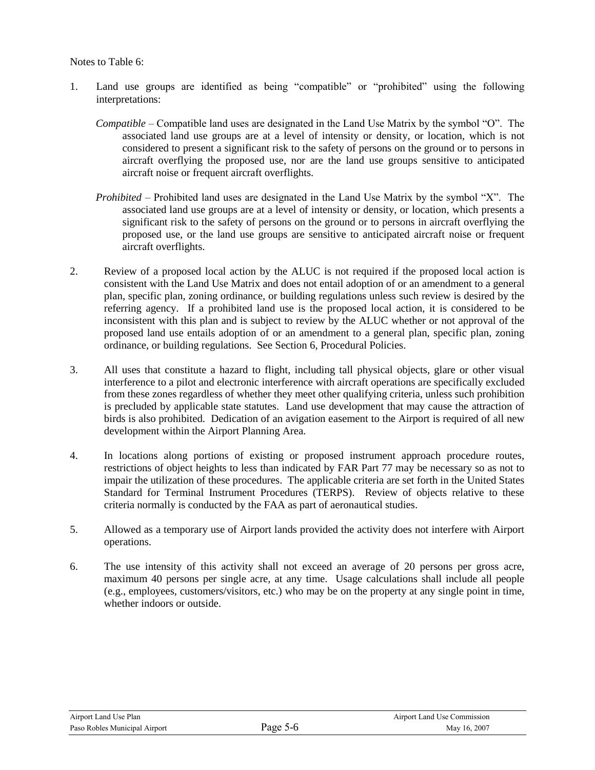Notes to Table 6:

- 1. Land use groups are identified as being "compatible" or "prohibited" using the following interpretations:
	- *Compatible* Compatible land uses are designated in the Land Use Matrix by the symbol "O". The associated land use groups are at a level of intensity or density, or location, which is not considered to present a significant risk to the safety of persons on the ground or to persons in aircraft overflying the proposed use, nor are the land use groups sensitive to anticipated aircraft noise or frequent aircraft overflights.
	- *Prohibited* Prohibited land uses are designated in the Land Use Matrix by the symbol "X". The associated land use groups are at a level of intensity or density, or location, which presents a significant risk to the safety of persons on the ground or to persons in aircraft overflying the proposed use, or the land use groups are sensitive to anticipated aircraft noise or frequent aircraft overflights.
- 2. Review of a proposed local action by the ALUC is not required if the proposed local action is consistent with the Land Use Matrix and does not entail adoption of or an amendment to a general plan, specific plan, zoning ordinance, or building regulations unless such review is desired by the referring agency. If a prohibited land use is the proposed local action, it is considered to be inconsistent with this plan and is subject to review by the ALUC whether or not approval of the proposed land use entails adoption of or an amendment to a general plan, specific plan, zoning ordinance, or building regulations. See Section 6, Procedural Policies.
- 3. All uses that constitute a hazard to flight, including tall physical objects, glare or other visual interference to a pilot and electronic interference with aircraft operations are specifically excluded from these zones regardless of whether they meet other qualifying criteria, unless such prohibition is precluded by applicable state statutes. Land use development that may cause the attraction of birds is also prohibited. Dedication of an avigation easement to the Airport is required of all new development within the Airport Planning Area.
- 4. In locations along portions of existing or proposed instrument approach procedure routes, restrictions of object heights to less than indicated by FAR Part 77 may be necessary so as not to impair the utilization of these procedures. The applicable criteria are set forth in the United States Standard for Terminal Instrument Procedures (TERPS). Review of objects relative to these criteria normally is conducted by the FAA as part of aeronautical studies.
- 5. Allowed as a temporary use of Airport lands provided the activity does not interfere with Airport operations.
- 6. The use intensity of this activity shall not exceed an average of 20 persons per gross acre, maximum 40 persons per single acre, at any time. Usage calculations shall include all people (e.g., employees, customers/visitors, etc.) who may be on the property at any single point in time, whether indoors or outside.